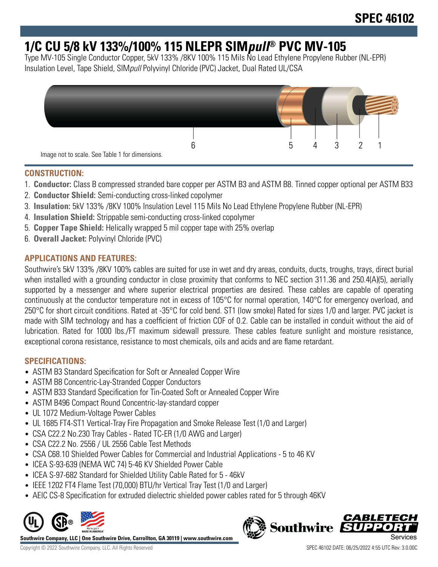# **1/C CU 5/8 kV 133%/100% 115 NLEPR SIMpull® PVC MV-105**

Type MV-105 Single Conductor Copper, 5kV 133% /8KV 100% 115 Mils No Lead Ethylene Propylene Rubber (NL-EPR) Insulation Level, Tape Shield, SIMpull Polyvinyl Chloride (PVC) Jacket, Dual Rated UL/CSA



## **CONSTRUCTION:**

- 1. **Conductor:** Class B compressed stranded bare copper per ASTM B3 and ASTM B8. Tinned copper optional per ASTM B33
- 2. **Conductor Shield:** Semi-conducting cross-linked copolymer
- 3. **Insulation:** 5kV 133% /8KV 100% Insulation Level 115 Mils No Lead Ethylene Propylene Rubber (NL-EPR)
- 4. **Insulation Shield:** Strippable semi-conducting cross-linked copolymer
- 5. **Copper Tape Shield:** Helically wrapped 5 mil copper tape with 25% overlap
- 6. **Overall Jacket:** Polyvinyl Chloride (PVC)

## **APPLICATIONS AND FEATURES:**

Southwire's 5kV 133% /8KV 100% cables are suited for use in wet and dry areas, conduits, ducts, troughs, trays, direct burial when installed with a grounding conductor in close proximity that conforms to NEC section 311.36 and 250.4(A)(5), aerially supported by a messenger and where superior electrical properties are desired. These cables are capable of operating continuously at the conductor temperature not in excess of 105°C for normal operation, 140°C for emergency overload, and 250°C for short circuit conditions. Rated at -35°C for cold bend. ST1 (low smoke) Rated for sizes 1/0 and larger. PVC jacket is made with SIM technology and has a coefficient of friction COF of 0.2. Cable can be installed in conduit without the aid of lubrication. Rated for 1000 lbs./FT maximum sidewall pressure. These cables feature sunlight and moisture resistance, exceptional corona resistance, resistance to most chemicals, oils and acids and are flame retardant.

### **SPECIFICATIONS:**

- ASTM B3 Standard Specification for Soft or Annealed Copper Wire
- ASTM B8 Concentric-Lay-Stranded Copper Conductors
- ASTM B33 Standard Specification for Tin-Coated Soft or Annealed Copper Wire
- ASTM B496 Compact Round Concentric-lay-standard copper
- UL 1072 Medium-Voltage Power Cables
- UL 1685 FT4-ST1 Vertical-Tray Fire Propagation and Smoke Release Test (1/0 and Larger)
- CSA C22.2 No.230 Tray Cables Rated TC-ER (1/0 AWG and Larger)
- CSA C22.2 No. 2556 / UL 2556 Cable Test Methods
- CSA C68.10 Shielded Power Cables for Commercial and Industrial Applications 5 to 46 KV
- ICEA S-93-639 (NEMA WC 74) 5-46 KV Shielded Power Cable
- ICEA S-97-682 Standard for Shielded Utility Cable Rated for 5 46kV
- IEEE 1202 FT4 Flame Test (70,000) BTU/hr Vertical Tray Test (1/0 and Larger)
- AEIC CS-8 Specification for extruded dielectric shielded power cables rated for 5 through 46KV



**Southwire Company, LLC | One Southwire Drive, Carrollton, GA 30119 | www.southwire.com**



Copyright © 2022 Southwire Company, LLC. All Rights Reserved SPEC 46102 DATE: 06/25/2022 4:55 UTC Rev: 3.0.00C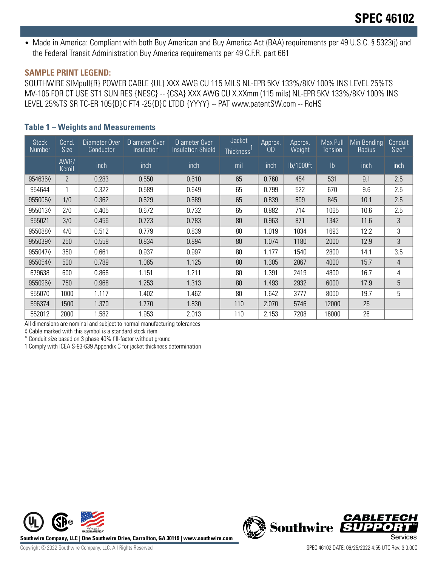• Made in America: Compliant with both Buy American and Buy America Act (BAA) requirements per 49 U.S.C. § 5323(j) and the Federal Transit Administration Buy America requirements per 49 C.F.R. part 661

#### **SAMPLE PRINT LEGEND:**

SOUTHWIRE SIMpull{R} POWER CABLE {UL} XXX AWG CU 115 MILS NL-EPR 5KV 133%/8KV 100% INS LEVEL 25%TS MV-105 FOR CT USE ST1 SUN RES {NESC} -- {CSA} XXX AWG CU X.XXmm (115 mils) NL-EPR 5KV 133%/8KV 100% INS LEVEL 25%TS SR TC-ER 105{D}C FT4 -25{D}C LTDD {YYYY} -- PAT www.patentSW.com -- RoHS

### **Table 1 – Weights and Measurements**

| <b>Stock</b><br>Number | Cond.<br><b>Size</b> | Diameter Over<br>Conductor | Diameter Over<br>Insulation | Diameter Over<br><b>Insulation Shield</b> | Jacket<br><b>Thickness</b>       | Approx.<br><b>OD</b> | Approx.<br>Weight | Max Pull<br><b>Tension</b> | Min Bending<br>Radius | Conduit<br>Size* |
|------------------------|----------------------|----------------------------|-----------------------------|-------------------------------------------|----------------------------------|----------------------|-------------------|----------------------------|-----------------------|------------------|
|                        | AWG/<br>Kcmil        | inch                       | inch                        | inch                                      | mil                              | inch                 | lb/1000ft         | Ib                         | inch                  | inch             |
| 9546360                | $\overline{2}$       | 0.283                      | 0.550                       | 0.610                                     | 65                               | 0.760                | 454               | 531                        | 9.1                   | 2.5              |
| 954644                 |                      | 0.322                      | 0.589                       | 0.649                                     | 9.6<br>65<br>0.799<br>522<br>670 |                      |                   | 2.5                        |                       |                  |
| 9550050                | 1/0                  | 0.362                      | 0.629                       | 0.689                                     | 65<br>0.839<br>609<br>845        |                      | 10.1              | 2.5                        |                       |                  |
| 9550130                | 2/0                  | 0.405                      | 0.672                       | 0.732                                     | 65                               | 0.882                | 714               | 1065                       | 10.6                  | 2.5              |
| 955021                 | 3/0                  | 0.456                      | 0.723                       | 0.783                                     | 80                               | 0.963                | 871               | 1342                       | 11.6                  | 3                |
| 9550880                | 4/0                  | 0.512                      | 0.779                       | 0.839                                     | 80                               | 1.019                | 1034              | 1693                       | 12.2                  | 3                |
| 9550390                | 250                  | 0.558                      | 0.834                       | 0.894                                     | 80                               | 1.074                | 1180              | 2000                       | 12.9                  | 3                |
| 9550470                | 350                  | 0.661                      | 0.937                       | 0.997                                     | 80                               | 1.177                | 1540              | 2800                       | 14.1                  | 3.5              |
| 9550540                | 500                  | 0.789                      | 1.065                       | 1.125                                     | 80                               | 1.305                | 2067              | 4000                       | 15.7                  | 4                |
| 679638                 | 600                  | 0.866                      | 1.151                       | 1.211                                     | 80                               | 1.391                | 2419              | 4800                       | 16.7                  | 4                |
| 955096♦                | 750                  | 0.968                      | 1.253                       | 1.313                                     | 80                               | 1.493                | 2932              | 6000                       | 17.9                  | 5                |
| 955070                 | 1000                 | 1.117                      | 1.402                       | 1.462                                     | 80                               | 1.642                | 3777              | 8000                       | 19.7                  | 5                |
| 596374                 | 1500                 | 1.370                      | 1.770                       | 1.830                                     | 110                              | 2.070                | 5746              | 12000                      | 25                    |                  |
| 552012                 | 2000                 | 1.582                      | 1.953                       | 2.013                                     | 110                              | 2.153                | 7208              | 16000                      | 26                    |                  |

All dimensions are nominal and subject to normal manufacturing tolerances

◊ Cable marked with this symbol is a standard stock item

\* Conduit size based on 3 phase 40% fill-factor without ground

1 Comply with ICEA S-93-639 Appendix C for jacket thickness determination